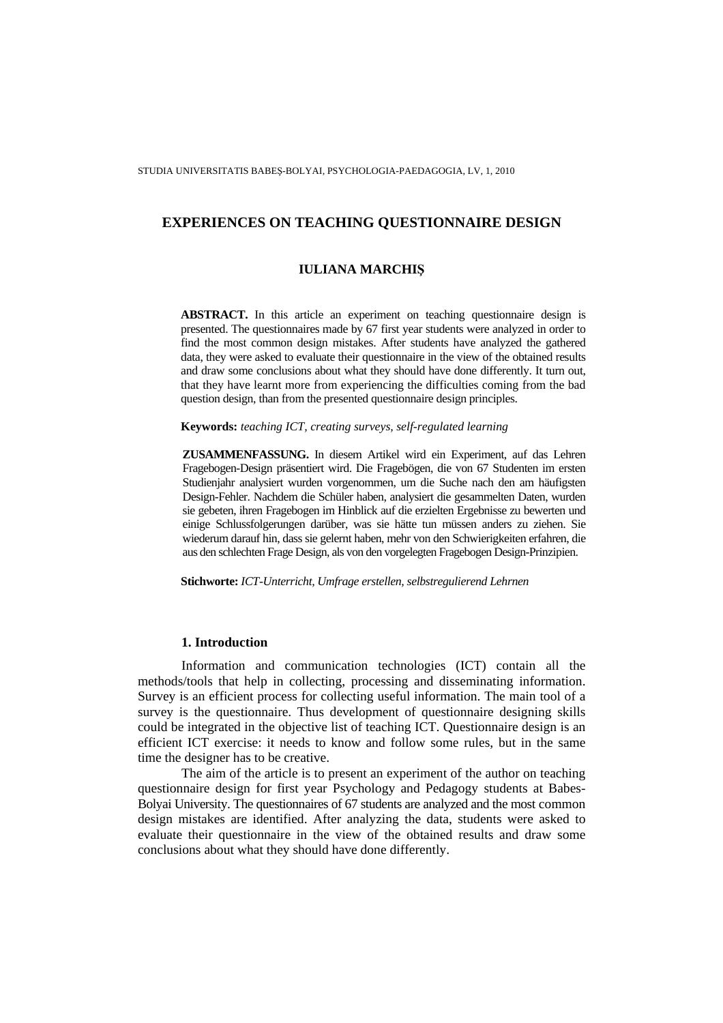## **IULIANA MARCHI**Ş

**ABSTRACT.** In this article an experiment on teaching questionnaire design is presented. The questionnaires made by 67 first year students were analyzed in order to find the most common design mistakes. After students have analyzed the gathered data, they were asked to evaluate their questionnaire in the view of the obtained results and draw some conclusions about what they should have done differently. It turn out, that they have learnt more from experiencing the difficulties coming from the bad question design, than from the presented questionnaire design principles.

# **Keywords:** *teaching ICT, creating surveys, self-regulated learning*

**ZUSAMMENFASSUNG.** In diesem Artikel wird ein Experiment, auf das Lehren Fragebogen-Design präsentiert wird. Die Fragebögen, die von 67 Studenten im ersten Studienjahr analysiert wurden vorgenommen, um die Suche nach den am häufigsten Design-Fehler. Nachdem die Schüler haben, analysiert die gesammelten Daten, wurden sie gebeten, ihren Fragebogen im Hinblick auf die erzielten Ergebnisse zu bewerten und einige Schlussfolgerungen darüber, was sie hätte tun müssen anders zu ziehen. Sie wiederum darauf hin, dass sie gelernt haben, mehr von den Schwierigkeiten erfahren, die aus den schlechten Frage Design, als von den vorgelegten Fragebogen Design-Prinzipien.

**Stichworte:** *ICT-Unterricht, Umfrage erstellen, selbstregulierend Lehrnen*

### **1. Introduction**

Information and communication technologies (ICT) contain all the methods/tools that help in collecting, processing and disseminating information. Survey is an efficient process for collecting useful information. The main tool of a survey is the questionnaire. Thus development of questionnaire designing skills could be integrated in the objective list of teaching ICT. Questionnaire design is an efficient ICT exercise: it needs to know and follow some rules, but in the same time the designer has to be creative.

The aim of the article is to present an experiment of the author on teaching questionnaire design for first year Psychology and Pedagogy students at Babes-Bolyai University. The questionnaires of 67 students are analyzed and the most common design mistakes are identified. After analyzing the data, students were asked to evaluate their questionnaire in the view of the obtained results and draw some conclusions about what they should have done differently.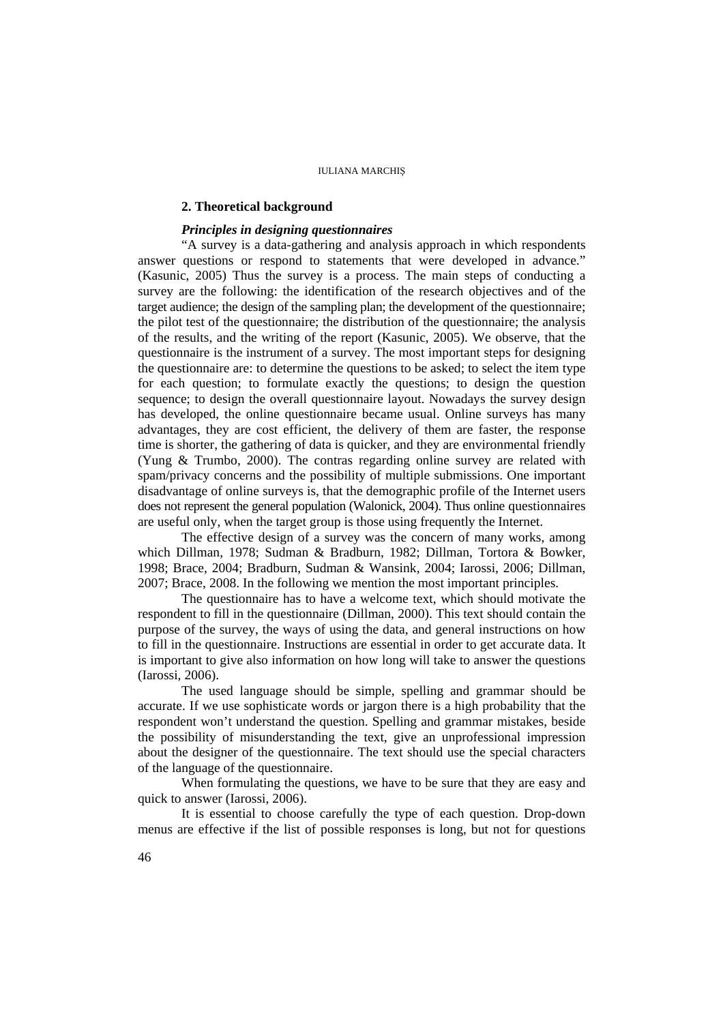#### IULIANA MARCHIŞ

## **2. Theoretical background**

#### *Principles in designing questionnaires*

"A survey is a data-gathering and analysis approach in which respondents answer questions or respond to statements that were developed in advance." (Kasunic, 2005) Thus the survey is a process. The main steps of conducting a survey are the following: the identification of the research objectives and of the target audience; the design of the sampling plan; the development of the questionnaire; the pilot test of the questionnaire; the distribution of the questionnaire; the analysis of the results, and the writing of the report (Kasunic, 2005). We observe, that the questionnaire is the instrument of a survey. The most important steps for designing the questionnaire are: to determine the questions to be asked; to select the item type for each question; to formulate exactly the questions; to design the question sequence; to design the overall questionnaire layout. Nowadays the survey design has developed, the online questionnaire became usual. Online surveys has many advantages, they are cost efficient, the delivery of them are faster, the response time is shorter, the gathering of data is quicker, and they are environmental friendly (Yung & Trumbo, 2000). The contras regarding online survey are related with spam/privacy concerns and the possibility of multiple submissions. One important disadvantage of online surveys is, that the demographic profile of the Internet users does not represent the general population (Walonick, 2004). Thus online questionnaires are useful only, when the target group is those using frequently the Internet.

The effective design of a survey was the concern of many works, among which Dillman, 1978; Sudman & Bradburn, 1982; Dillman, Tortora & Bowker, 1998; Brace, 2004; Bradburn, Sudman & Wansink, 2004; Iarossi, 2006; Dillman, 2007; Brace, 2008. In the following we mention the most important principles.

The questionnaire has to have a welcome text, which should motivate the respondent to fill in the questionnaire (Dillman, 2000). This text should contain the purpose of the survey, the ways of using the data, and general instructions on how to fill in the questionnaire. Instructions are essential in order to get accurate data. It is important to give also information on how long will take to answer the questions (Iarossi, 2006).

The used language should be simple, spelling and grammar should be accurate. If we use sophisticate words or jargon there is a high probability that the respondent won't understand the question. Spelling and grammar mistakes, beside the possibility of misunderstanding the text, give an unprofessional impression about the designer of the questionnaire. The text should use the special characters of the language of the questionnaire.

When formulating the questions, we have to be sure that they are easy and quick to answer (Iarossi, 2006).

It is essential to choose carefully the type of each question. Drop-down menus are effective if the list of possible responses is long, but not for questions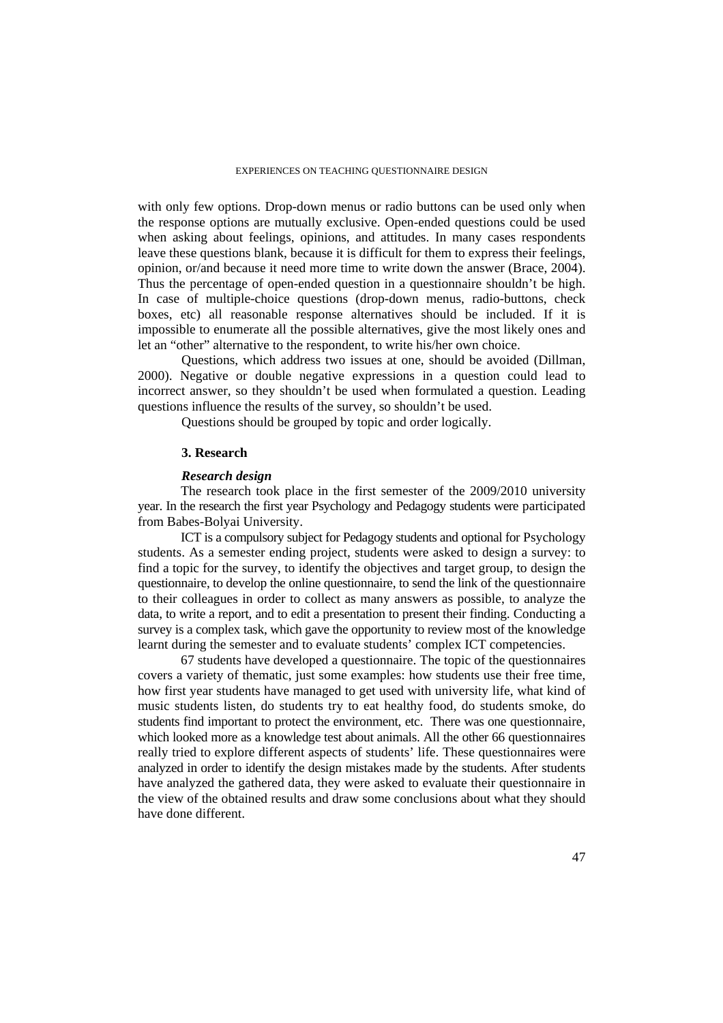with only few options. Drop-down menus or radio buttons can be used only when the response options are mutually exclusive. Open-ended questions could be used when asking about feelings, opinions, and attitudes. In many cases respondents leave these questions blank, because it is difficult for them to express their feelings, opinion, or/and because it need more time to write down the answer (Brace, 2004). Thus the percentage of open-ended question in a questionnaire shouldn't be high. In case of multiple-choice questions (drop-down menus, radio-buttons, check boxes, etc) all reasonable response alternatives should be included. If it is impossible to enumerate all the possible alternatives, give the most likely ones and let an "other" alternative to the respondent, to write his/her own choice.

Questions, which address two issues at one, should be avoided (Dillman, 2000). Negative or double negative expressions in a question could lead to incorrect answer, so they shouldn't be used when formulated a question. Leading questions influence the results of the survey, so shouldn't be used.

Questions should be grouped by topic and order logically.

#### **3. Research**

#### *Research design*

The research took place in the first semester of the 2009/2010 university year. In the research the first year Psychology and Pedagogy students were participated from Babes-Bolyai University.

ICT is a compulsory subject for Pedagogy students and optional for Psychology students. As a semester ending project, students were asked to design a survey: to find a topic for the survey, to identify the objectives and target group, to design the questionnaire, to develop the online questionnaire, to send the link of the questionnaire to their colleagues in order to collect as many answers as possible, to analyze the data, to write a report, and to edit a presentation to present their finding. Conducting a survey is a complex task, which gave the opportunity to review most of the knowledge learnt during the semester and to evaluate students' complex ICT competencies.

67 students have developed a questionnaire. The topic of the questionnaires covers a variety of thematic, just some examples: how students use their free time, how first year students have managed to get used with university life, what kind of music students listen, do students try to eat healthy food, do students smoke, do students find important to protect the environment, etc. There was one questionnaire, which looked more as a knowledge test about animals. All the other 66 questionnaires really tried to explore different aspects of students' life. These questionnaires were analyzed in order to identify the design mistakes made by the students. After students have analyzed the gathered data, they were asked to evaluate their questionnaire in the view of the obtained results and draw some conclusions about what they should have done different.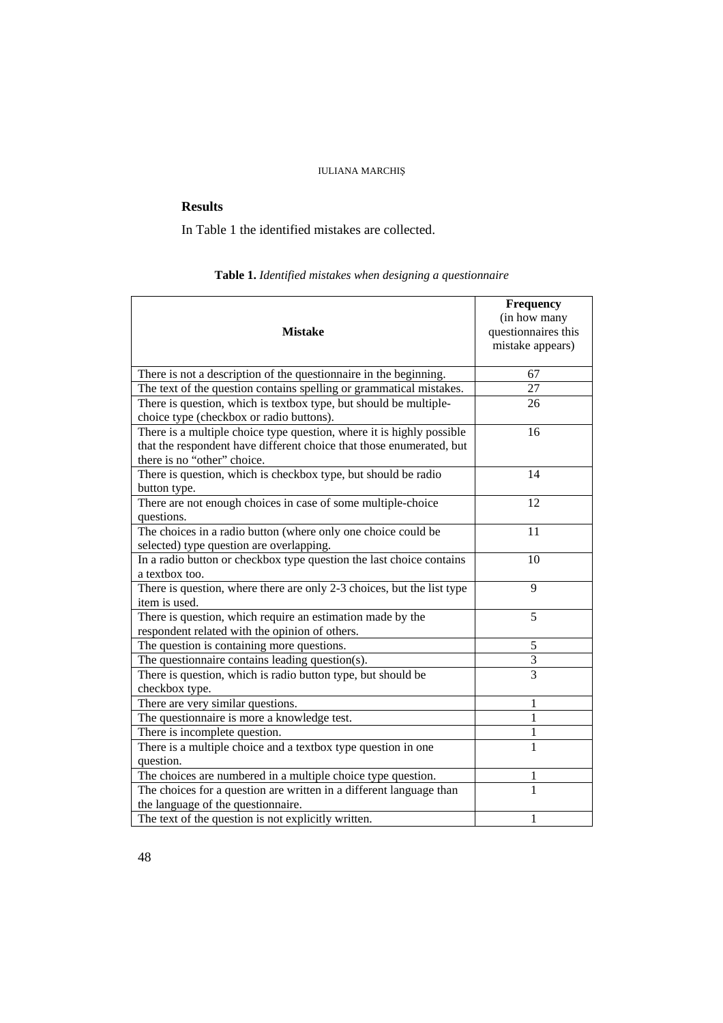# IULIANA MARCHIŞ

# **Results**

In Table 1 the identified mistakes are collected.

# **Table 1.** *Identified mistakes when designing a questionnaire*

| <b>Mistake</b>                                                                                      | Frequency<br>(in how many<br>questionnaires this<br>mistake appears) |
|-----------------------------------------------------------------------------------------------------|----------------------------------------------------------------------|
| There is not a description of the questionnaire in the beginning.                                   | 67                                                                   |
| The text of the question contains spelling or grammatical mistakes.                                 | 27                                                                   |
| There is question, which is textbox type, but should be multiple-                                   | 26                                                                   |
| choice type (checkbox or radio buttons).                                                            |                                                                      |
| There is a multiple choice type question, where it is highly possible                               | 16                                                                   |
| that the respondent have different choice that those enumerated, but<br>there is no "other" choice. |                                                                      |
| There is question, which is checkbox type, but should be radio                                      | 14                                                                   |
| button type.                                                                                        |                                                                      |
| There are not enough choices in case of some multiple-choice                                        | 12                                                                   |
| questions.                                                                                          |                                                                      |
| The choices in a radio button (where only one choice could be                                       | 11                                                                   |
| selected) type question are overlapping.                                                            |                                                                      |
| In a radio button or checkbox type question the last choice contains                                | 10                                                                   |
| a textbox too.                                                                                      |                                                                      |
| There is question, where there are only 2-3 choices, but the list type<br>item is used.             | 9                                                                    |
| There is question, which require an estimation made by the                                          | 5                                                                    |
| respondent related with the opinion of others.                                                      |                                                                      |
| The question is containing more questions.                                                          | 5                                                                    |
| The questionnaire contains leading question(s).                                                     | 3                                                                    |
| There is question, which is radio button type, but should be                                        | $\overline{3}$                                                       |
| checkbox type.                                                                                      |                                                                      |
| There are very similar questions.                                                                   | 1                                                                    |
| The questionnaire is more a knowledge test.                                                         | 1                                                                    |
| There is incomplete question.                                                                       | 1                                                                    |
| There is a multiple choice and a textbox type question in one                                       | $\mathbf{1}$                                                         |
| question.                                                                                           |                                                                      |
| The choices are numbered in a multiple choice type question.                                        | 1                                                                    |
| The choices for a question are written in a different language than                                 | 1                                                                    |
| the language of the questionnaire.                                                                  |                                                                      |
| The text of the question is not explicitly written.                                                 | 1                                                                    |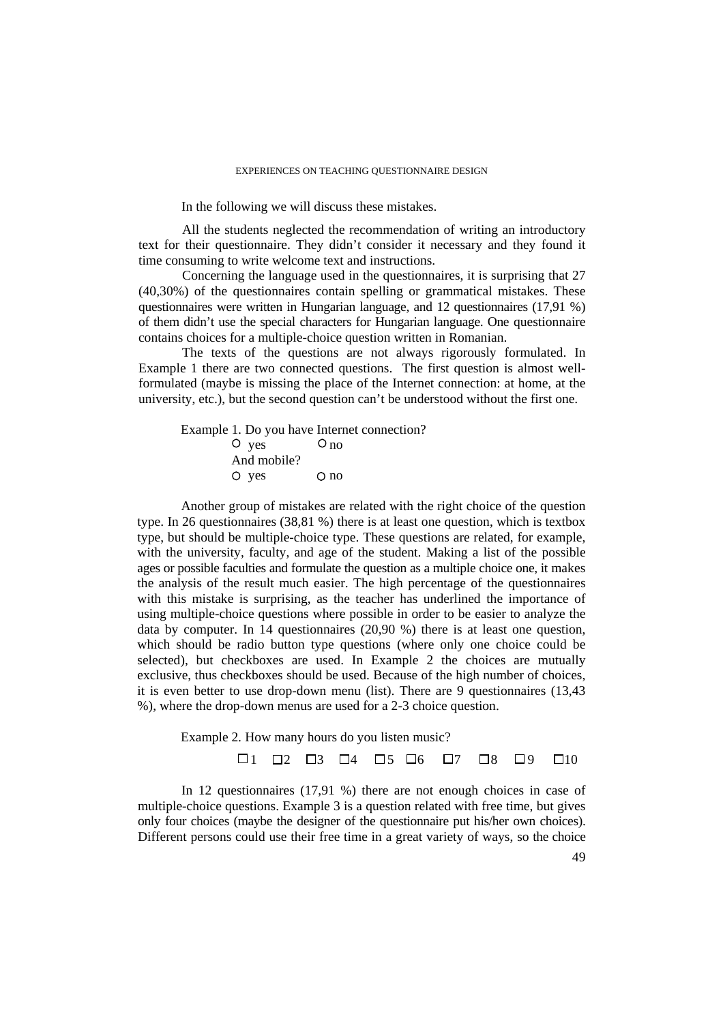In the following we will discuss these mistakes.

All the students neglected the recommendation of writing an introductory text for their questionnaire. They didn't consider it necessary and they found it time consuming to write welcome text and instructions.

Concerning the language used in the questionnaires, it is surprising that 27 (40,30%) of the questionnaires contain spelling or grammatical mistakes. These questionnaires were written in Hungarian language, and 12 questionnaires (17,91 %) of them didn't use the special characters for Hungarian language. One questionnaire contains choices for a multiple-choice question written in Romanian.

The texts of the questions are not always rigorously formulated. In Example 1 there are two connected questions. The first question is almost wellformulated (maybe is missing the place of the Internet connection: at home, at the university, etc.), but the second question can't be understood without the first one.

Example 1*.* Do you have Internet connection?  $O$   $ves$   $O$   $no$ And mobile? O yes O no

Another group of mistakes are related with the right choice of the question type. In 26 questionnaires (38,81 %) there is at least one question, which is textbox type, but should be multiple-choice type. These questions are related, for example, with the university, faculty, and age of the student. Making a list of the possible ages or possible faculties and formulate the question as a multiple choice one, it makes the analysis of the result much easier. The high percentage of the questionnaires with this mistake is surprising, as the teacher has underlined the importance of using multiple-choice questions where possible in order to be easier to analyze the data by computer. In 14 questionnaires (20,90 %) there is at least one question, which should be radio button type questions (where only one choice could be selected), but checkboxes are used. In Example 2 the choices are mutually exclusive, thus checkboxes should be used. Because of the high number of choices, it is even better to use drop-down menu (list). There are 9 questionnaires (13,43 %), where the drop-down menus are used for a 2-3 choice question.

Example 2*.* How many hours do you listen music?

 $\Box$ 1  $\Box$ 2  $\Box$ 3  $\Box$ 4  $\Box$ 5  $\Box$ 6  $\Box$ 7  $\Box$ 8  $\Box$ 9  $\Box$ 10

In 12 questionnaires (17,91 %) there are not enough choices in case of multiple-choice questions. Example 3 is a question related with free time, but gives only four choices (maybe the designer of the questionnaire put his/her own choices). Different persons could use their free time in a great variety of ways, so the choice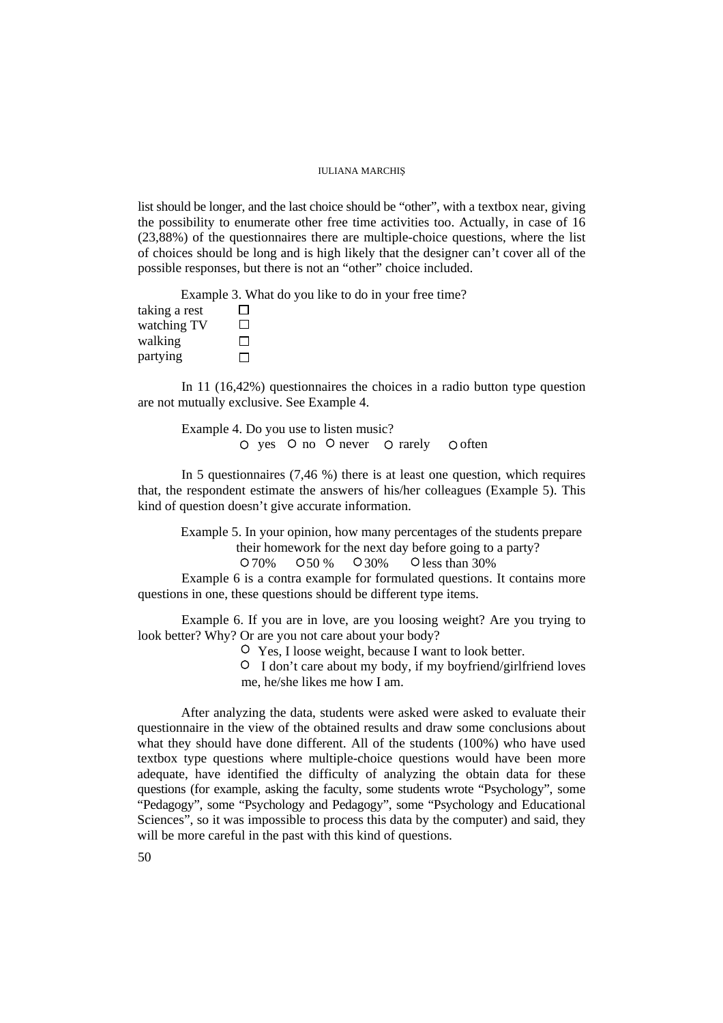#### IULIANA MARCHIŞ

list should be longer, and the last choice should be "other", with a textbox near, giving the possibility to enumerate other free time activities too. Actually, in case of 16 (23,88%) of the questionnaires there are multiple-choice questions, where the list of choices should be long and is high likely that the designer can't cover all of the possible responses, but there is not an "other" choice included.

Example 3. What do you like to do in your free time?

taking a rest  $\Box$ watching TV  $\Box$ walking  $\Box$ partying  $\Box$ 

In 11 (16,42%) questionnaires the choices in a radio button type question are not mutually exclusive. See Example 4.

Example 4. Do you use to listen music?  $\circ$  yes  $\circ$  no  $\circ$  never  $\circ$  rarely  $\circ$  often

In 5 questionnaires (7,46 %) there is at least one question, which requires that, the respondent estimate the answers of his/her colleagues (Example 5). This kind of question doesn't give accurate information.

Example 5. In your opinion, how many percentages of the students prepare their homework for the next day before going to a party? 0.70% 0.50 % 0.30% O less than 30%

Example 6 is a contra example for formulated questions. It contains more questions in one, these questions should be different type items.

Example 6. If you are in love, are you loosing weight? Are you trying to look better? Why? Or are you not care about your body?

Yes, I loose weight, because I want to look better.

 I don't care about my body, if my boyfriend/girlfriend loves me, he/she likes me how I am.

After analyzing the data, students were asked were asked to evaluate their questionnaire in the view of the obtained results and draw some conclusions about what they should have done different. All of the students (100%) who have used textbox type questions where multiple-choice questions would have been more adequate, have identified the difficulty of analyzing the obtain data for these questions (for example, asking the faculty, some students wrote "Psychology", some "Pedagogy", some "Psychology and Pedagogy", some "Psychology and Educational Sciences", so it was impossible to process this data by the computer) and said, they will be more careful in the past with this kind of questions.